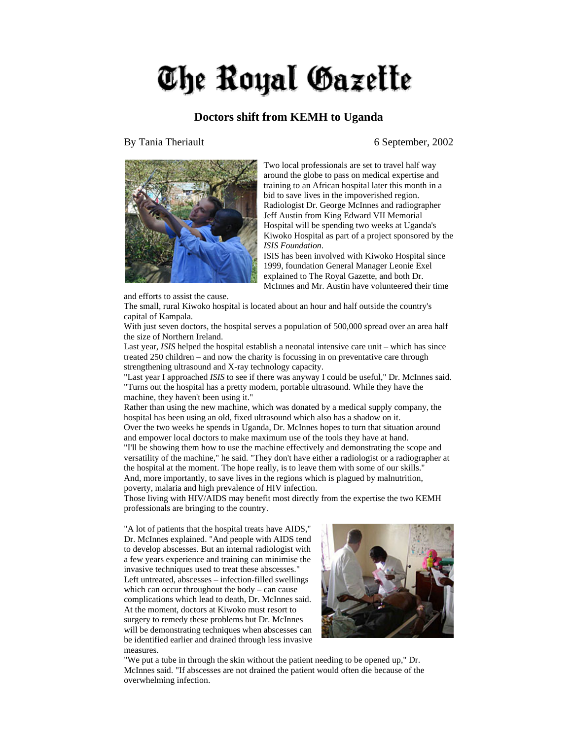## The Royal Gazette

## **Doctors shift from KEMH to Uganda**

By Tania Theriault 6 September, 2002



and efforts to assist the cause.

Two local professionals are set to travel half way around the globe to pass on medical expertise and training to an African hospital later this month in a bid to save lives in the impoverished region. Radiologist Dr. George McInnes and radiographer Jeff Austin from King Edward VII Memorial Hospital will be spending two weeks at Uganda's Kiwoko Hospital as part of a project sponsored by the *ISIS Foundation*.

ISIS has been involved with Kiwoko Hospital since 1999, foundation General Manager Leonie Exel explained to The Royal Gazette, and both Dr. McInnes and Mr. Austin have volunteered their time

The small, rural Kiwoko hospital is located about an hour and half outside the country's capital of Kampala.

With just seven doctors, the hospital serves a population of 500,000 spread over an area half the size of Northern Ireland.

Last year, *ISIS* helped the hospital establish a neonatal intensive care unit – which has since treated 250 children – and now the charity is focussing in on preventative care through strengthening ultrasound and X-ray technology capacity.

"Last year I approached *ISIS* to see if there was anyway I could be useful," Dr. McInnes said. "Turns out the hospital has a pretty modern, portable ultrasound. While they have the machine, they haven't been using it."

Rather than using the new machine, which was donated by a medical supply company, the hospital has been using an old, fixed ultrasound which also has a shadow on it.

Over the two weeks he spends in Uganda, Dr. McInnes hopes to turn that situation around and empower local doctors to make maximum use of the tools they have at hand.

"I'll be showing them how to use the machine effectively and demonstrating the scope and versatility of the machine," he said. "They don't have either a radiologist or a radiographer at the hospital at the moment. The hope really, is to leave them with some of our skills." And, more importantly, to save lives in the regions which is plagued by malnutrition, poverty, malaria and high prevalence of HIV infection.

Those living with HIV/AIDS may benefit most directly from the expertise the two KEMH professionals are bringing to the country.

"A lot of patients that the hospital treats have AIDS," Dr. McInnes explained. "And people with AIDS tend to develop abscesses. But an internal radiologist with a few years experience and training can minimise the invasive techniques used to treat these abscesses." Left untreated, abscesses – infection-filled swellings which can occur throughout the body – can cause complications which lead to death, Dr. McInnes said. At the moment, doctors at Kiwoko must resort to surgery to remedy these problems but Dr. McInnes will be demonstrating techniques when abscesses can be identified earlier and drained through less invasive measures.



"We put a tube in through the skin without the patient needing to be opened up," Dr. McInnes said. "If abscesses are not drained the patient would often die because of the overwhelming infection.